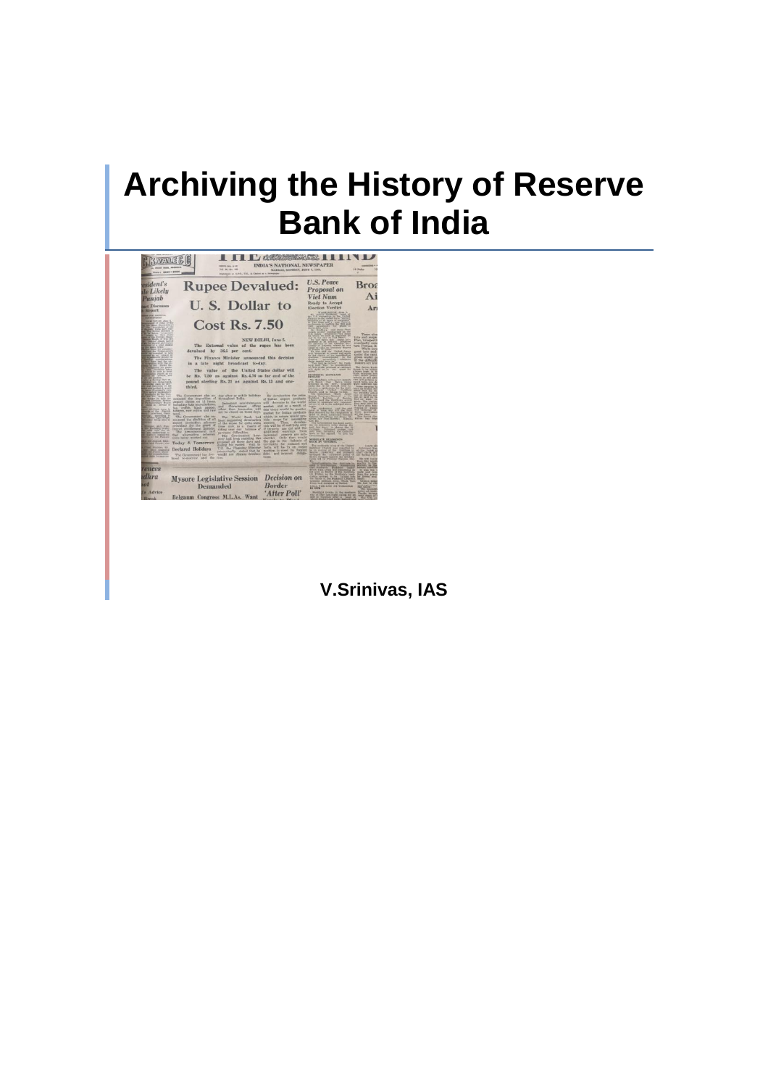# **Archiving the History of Reserve Bank of India**



**V.Srinivas, IAS**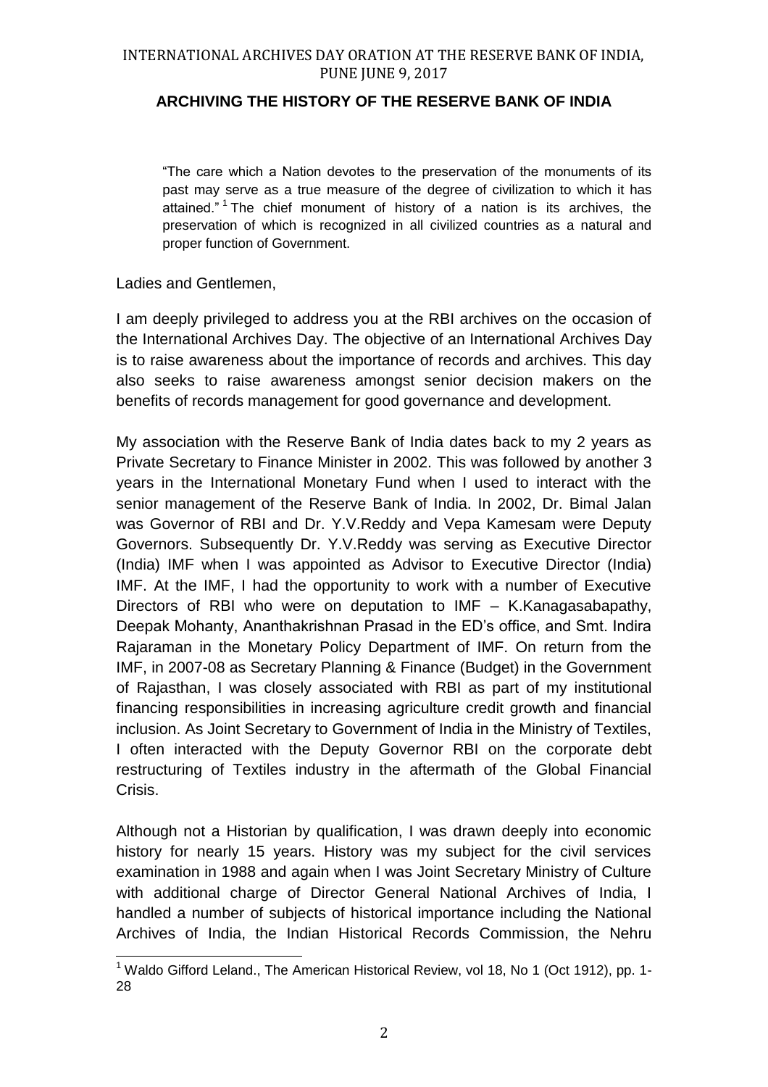## **ARCHIVING THE HISTORY OF THE RESERVE BANK OF INDIA**

"The care which a Nation devotes to the preservation of the monuments of its past may serve as a true measure of the degree of civilization to which it has attained." <sup>1</sup> The chief monument of history of a nation is its archives, the preservation of which is recognized in all civilized countries as a natural and proper function of Government.

#### Ladies and Gentlemen,

I am deeply privileged to address you at the RBI archives on the occasion of the International Archives Day. The objective of an International Archives Day is to raise awareness about the importance of records and archives. This day also seeks to raise awareness amongst senior decision makers on the benefits of records management for good governance and development.

My association with the Reserve Bank of India dates back to my 2 years as Private Secretary to Finance Minister in 2002. This was followed by another 3 years in the International Monetary Fund when I used to interact with the senior management of the Reserve Bank of India. In 2002, Dr. Bimal Jalan was Governor of RBI and Dr. Y.V.Reddy and Vepa Kamesam were Deputy Governors. Subsequently Dr. Y.V.Reddy was serving as Executive Director (India) IMF when I was appointed as Advisor to Executive Director (India) IMF. At the IMF, I had the opportunity to work with a number of Executive Directors of RBI who were on deputation to IMF – K.Kanagasabapathy, Deepak Mohanty, Ananthakrishnan Prasad in the ED's office, and Smt. Indira Rajaraman in the Monetary Policy Department of IMF. On return from the IMF, in 2007-08 as Secretary Planning & Finance (Budget) in the Government of Rajasthan, I was closely associated with RBI as part of my institutional financing responsibilities in increasing agriculture credit growth and financial inclusion. As Joint Secretary to Government of India in the Ministry of Textiles, I often interacted with the Deputy Governor RBI on the corporate debt restructuring of Textiles industry in the aftermath of the Global Financial Crisis.

Although not a Historian by qualification, I was drawn deeply into economic history for nearly 15 years. History was my subject for the civil services examination in 1988 and again when I was Joint Secretary Ministry of Culture with additional charge of Director General National Archives of India, I handled a number of subjects of historical importance including the National Archives of India, the Indian Historical Records Commission, the Nehru

 $\overline{a}$ <sup>1</sup> Waldo Gifford Leland., The American Historical Review, vol 18, No 1 (Oct 1912), pp. 1-28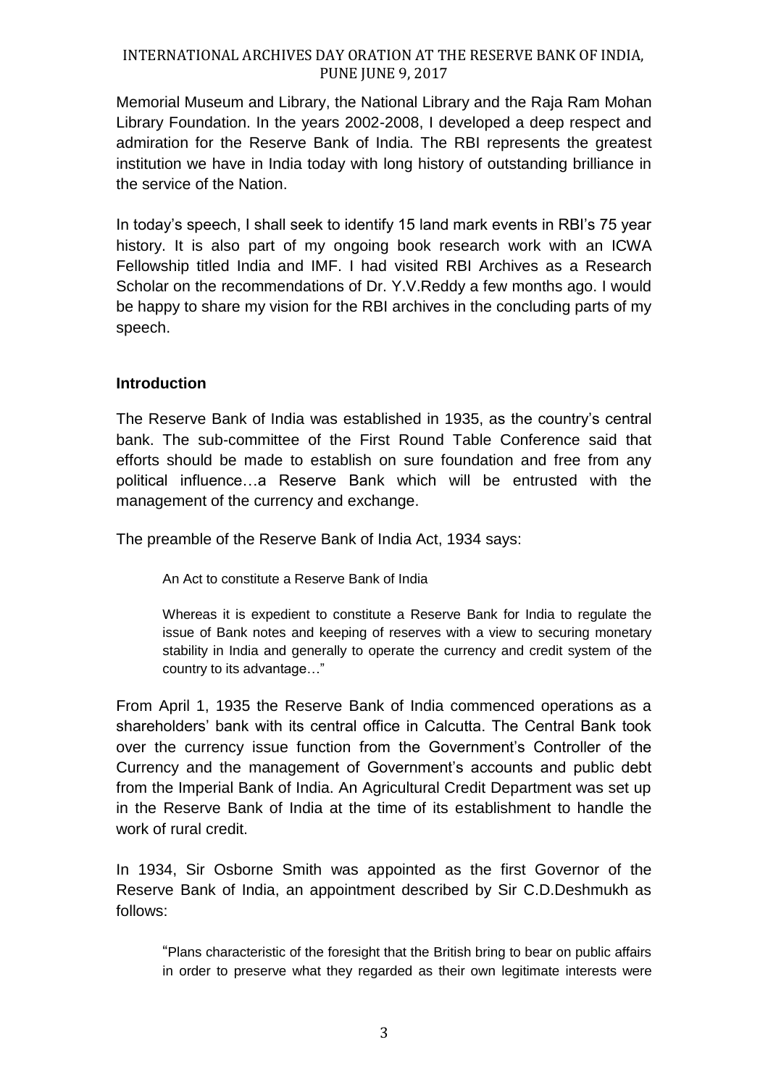Memorial Museum and Library, the National Library and the Raja Ram Mohan Library Foundation. In the years 2002-2008, I developed a deep respect and admiration for the Reserve Bank of India. The RBI represents the greatest institution we have in India today with long history of outstanding brilliance in the service of the Nation.

In today's speech, I shall seek to identify 15 land mark events in RBI's 75 year history. It is also part of my ongoing book research work with an ICWA Fellowship titled India and IMF. I had visited RBI Archives as a Research Scholar on the recommendations of Dr. Y.V.Reddy a few months ago. I would be happy to share my vision for the RBI archives in the concluding parts of my speech.

#### **Introduction**

The Reserve Bank of India was established in 1935, as the country's central bank. The sub-committee of the First Round Table Conference said that efforts should be made to establish on sure foundation and free from any political influence…a Reserve Bank which will be entrusted with the management of the currency and exchange.

The preamble of the Reserve Bank of India Act, 1934 says:

An Act to constitute a Reserve Bank of India

Whereas it is expedient to constitute a Reserve Bank for India to regulate the issue of Bank notes and keeping of reserves with a view to securing monetary stability in India and generally to operate the currency and credit system of the country to its advantage…"

From April 1, 1935 the Reserve Bank of India commenced operations as a shareholders' bank with its central office in Calcutta. The Central Bank took over the currency issue function from the Government's Controller of the Currency and the management of Government's accounts and public debt from the Imperial Bank of India. An Agricultural Credit Department was set up in the Reserve Bank of India at the time of its establishment to handle the work of rural credit.

In 1934, Sir Osborne Smith was appointed as the first Governor of the Reserve Bank of India, an appointment described by Sir C.D.Deshmukh as follows:

"Plans characteristic of the foresight that the British bring to bear on public affairs in order to preserve what they regarded as their own legitimate interests were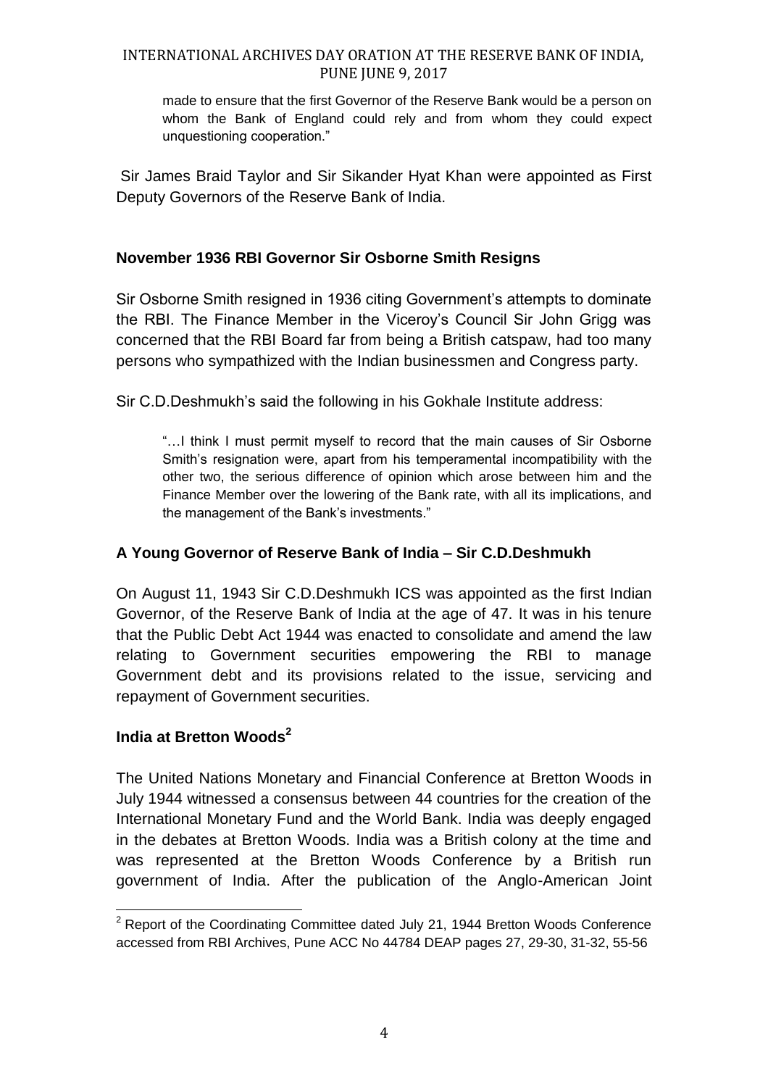made to ensure that the first Governor of the Reserve Bank would be a person on whom the Bank of England could rely and from whom they could expect unquestioning cooperation."

Sir James Braid Taylor and Sir Sikander Hyat Khan were appointed as First Deputy Governors of the Reserve Bank of India.

## **November 1936 RBI Governor Sir Osborne Smith Resigns**

Sir Osborne Smith resigned in 1936 citing Government's attempts to dominate the RBI. The Finance Member in the Viceroy's Council Sir John Grigg was concerned that the RBI Board far from being a British catspaw, had too many persons who sympathized with the Indian businessmen and Congress party.

Sir C.D.Deshmukh's said the following in his Gokhale Institute address:

"…I think I must permit myself to record that the main causes of Sir Osborne Smith's resignation were, apart from his temperamental incompatibility with the other two, the serious difference of opinion which arose between him and the Finance Member over the lowering of the Bank rate, with all its implications, and the management of the Bank's investments."

# **A Young Governor of Reserve Bank of India – Sir C.D.Deshmukh**

On August 11, 1943 Sir C.D.Deshmukh ICS was appointed as the first Indian Governor, of the Reserve Bank of India at the age of 47. It was in his tenure that the Public Debt Act 1944 was enacted to consolidate and amend the law relating to Government securities empowering the RBI to manage Government debt and its provisions related to the issue, servicing and repayment of Government securities.

# **India at Bretton Woods<sup>2</sup>**

The United Nations Monetary and Financial Conference at Bretton Woods in July 1944 witnessed a consensus between 44 countries for the creation of the International Monetary Fund and the World Bank. India was deeply engaged in the debates at Bretton Woods. India was a British colony at the time and was represented at the Bretton Woods Conference by a British run government of India. After the publication of the Anglo-American Joint

 $\overline{a}$ <sup>2</sup> Report of the Coordinating Committee dated July 21, 1944 Bretton Woods Conference accessed from RBI Archives, Pune ACC No 44784 DEAP pages 27, 29-30, 31-32, 55-56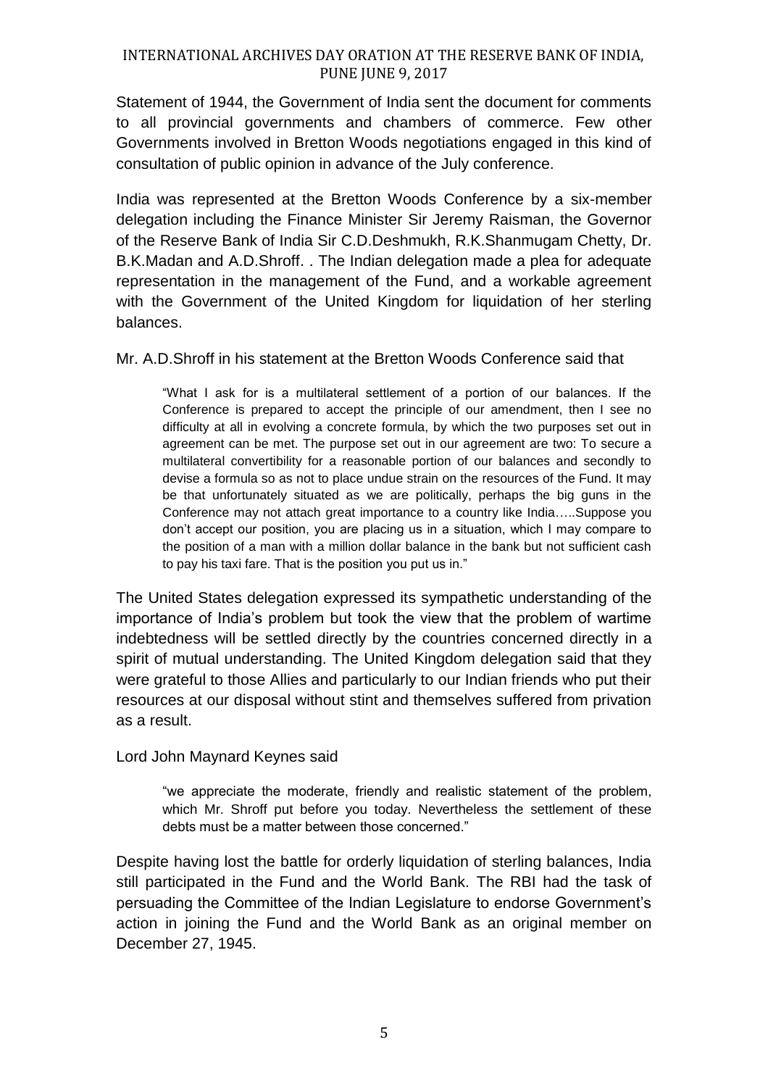Statement of 1944, the Government of India sent the document for comments to all provincial governments and chambers of commerce. Few other Governments involved in Bretton Woods negotiations engaged in this kind of consultation of public opinion in advance of the July conference.

India was represented at the Bretton Woods Conference by a six-member delegation including the Finance Minister Sir Jeremy Raisman, the Governor of the Reserve Bank of India Sir C.D.Deshmukh, R.K.Shanmugam Chetty, Dr. B.K.Madan and A.D.Shroff. . The Indian delegation made a plea for adequate representation in the management of the Fund, and a workable agreement with the Government of the United Kingdom for liquidation of her sterling balances.

Mr. A.D.Shroff in his statement at the Bretton Woods Conference said that

"What I ask for is a multilateral settlement of a portion of our balances. If the Conference is prepared to accept the principle of our amendment, then I see no difficulty at all in evolving a concrete formula, by which the two purposes set out in agreement can be met. The purpose set out in our agreement are two: To secure a multilateral convertibility for a reasonable portion of our balances and secondly to devise a formula so as not to place undue strain on the resources of the Fund. It may be that unfortunately situated as we are politically, perhaps the big guns in the Conference may not attach great importance to a country like India…..Suppose you don't accept our position, you are placing us in a situation, which I may compare to the position of a man with a million dollar balance in the bank but not sufficient cash to pay his taxi fare. That is the position you put us in."

The United States delegation expressed its sympathetic understanding of the importance of India's problem but took the view that the problem of wartime indebtedness will be settled directly by the countries concerned directly in a spirit of mutual understanding. The United Kingdom delegation said that they were grateful to those Allies and particularly to our Indian friends who put their resources at our disposal without stint and themselves suffered from privation as a result.

Lord John Maynard Keynes said

"we appreciate the moderate, friendly and realistic statement of the problem, which Mr. Shroff put before you today. Nevertheless the settlement of these debts must be a matter between those concerned."

Despite having lost the battle for orderly liquidation of sterling balances, India still participated in the Fund and the World Bank. The RBI had the task of persuading the Committee of the Indian Legislature to endorse Government's action in joining the Fund and the World Bank as an original member on December 27, 1945.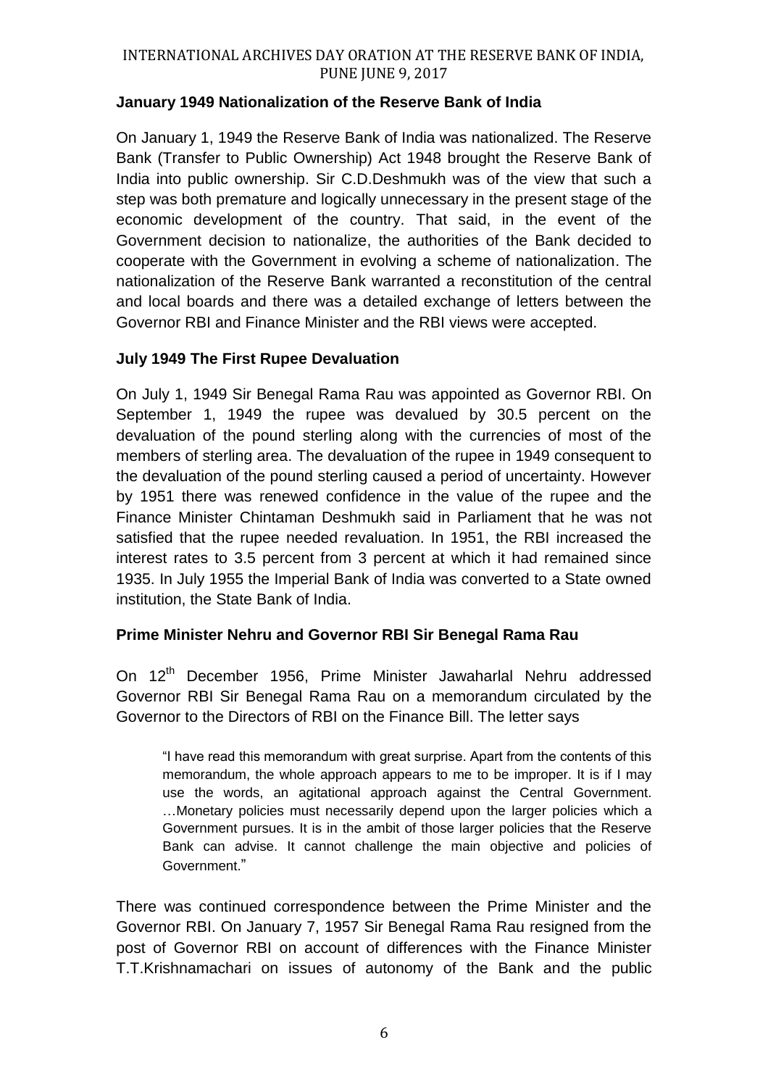## **January 1949 Nationalization of the Reserve Bank of India**

On January 1, 1949 the Reserve Bank of India was nationalized. The Reserve Bank (Transfer to Public Ownership) Act 1948 brought the Reserve Bank of India into public ownership. Sir C.D.Deshmukh was of the view that such a step was both premature and logically unnecessary in the present stage of the economic development of the country. That said, in the event of the Government decision to nationalize, the authorities of the Bank decided to cooperate with the Government in evolving a scheme of nationalization. The nationalization of the Reserve Bank warranted a reconstitution of the central and local boards and there was a detailed exchange of letters between the Governor RBI and Finance Minister and the RBI views were accepted.

# **July 1949 The First Rupee Devaluation**

On July 1, 1949 Sir Benegal Rama Rau was appointed as Governor RBI. On September 1, 1949 the rupee was devalued by 30.5 percent on the devaluation of the pound sterling along with the currencies of most of the members of sterling area. The devaluation of the rupee in 1949 consequent to the devaluation of the pound sterling caused a period of uncertainty. However by 1951 there was renewed confidence in the value of the rupee and the Finance Minister Chintaman Deshmukh said in Parliament that he was not satisfied that the rupee needed revaluation. In 1951, the RBI increased the interest rates to 3.5 percent from 3 percent at which it had remained since 1935. In July 1955 the Imperial Bank of India was converted to a State owned institution, the State Bank of India.

## **Prime Minister Nehru and Governor RBI Sir Benegal Rama Rau**

On 12<sup>th</sup> December 1956, Prime Minister Jawaharlal Nehru addressed Governor RBI Sir Benegal Rama Rau on a memorandum circulated by the Governor to the Directors of RBI on the Finance Bill. The letter says

"I have read this memorandum with great surprise. Apart from the contents of this memorandum, the whole approach appears to me to be improper. It is if I may use the words, an agitational approach against the Central Government. …Monetary policies must necessarily depend upon the larger policies which a Government pursues. It is in the ambit of those larger policies that the Reserve Bank can advise. It cannot challenge the main objective and policies of Government."

There was continued correspondence between the Prime Minister and the Governor RBI. On January 7, 1957 Sir Benegal Rama Rau resigned from the post of Governor RBI on account of differences with the Finance Minister T.T.Krishnamachari on issues of autonomy of the Bank and the public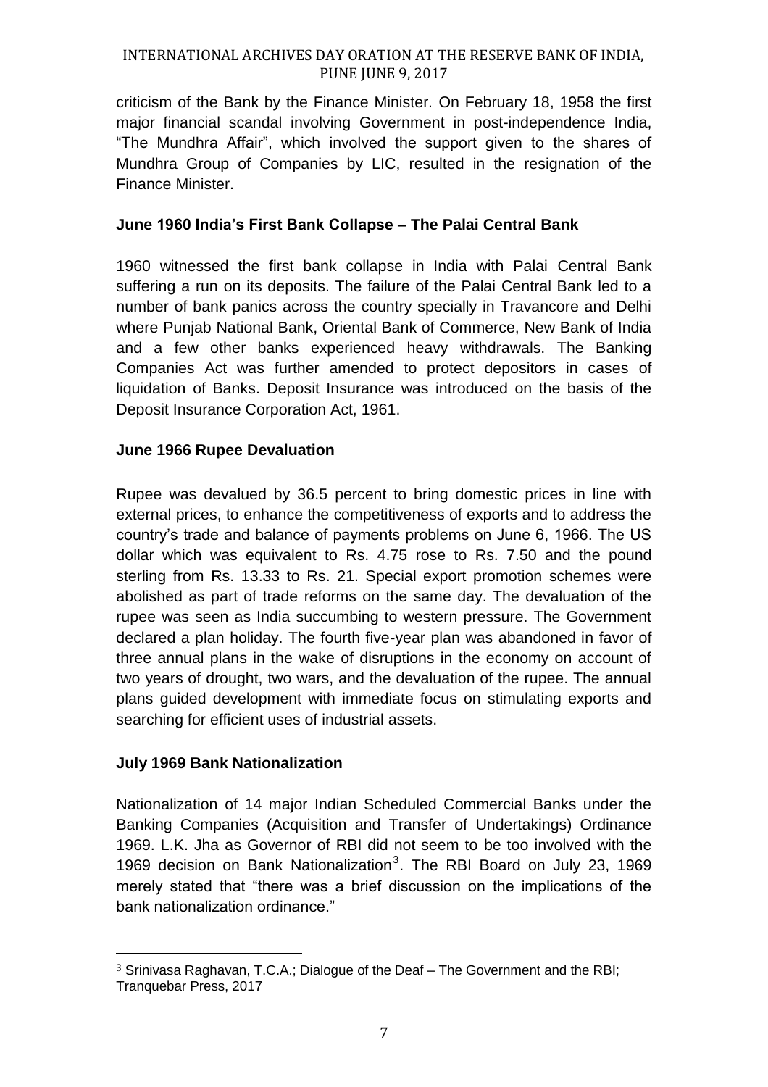criticism of the Bank by the Finance Minister. On February 18, 1958 the first major financial scandal involving Government in post-independence India, "The Mundhra Affair", which involved the support given to the shares of Mundhra Group of Companies by LIC, resulted in the resignation of the Finance Minister.

## **June 1960 India's First Bank Collapse – The Palai Central Bank**

1960 witnessed the first bank collapse in India with Palai Central Bank suffering a run on its deposits. The failure of the Palai Central Bank led to a number of bank panics across the country specially in Travancore and Delhi where Punjab National Bank, Oriental Bank of Commerce, New Bank of India and a few other banks experienced heavy withdrawals. The Banking Companies Act was further amended to protect depositors in cases of liquidation of Banks. Deposit Insurance was introduced on the basis of the Deposit Insurance Corporation Act, 1961.

## **June 1966 Rupee Devaluation**

Rupee was devalued by 36.5 percent to bring domestic prices in line with external prices, to enhance the competitiveness of exports and to address the country's trade and balance of payments problems on June 6, 1966. The US dollar which was equivalent to Rs. 4.75 rose to Rs. 7.50 and the pound sterling from Rs. 13.33 to Rs. 21. Special export promotion schemes were abolished as part of trade reforms on the same day. The devaluation of the rupee was seen as India succumbing to western pressure. The Government declared a plan holiday. The fourth five-year plan was abandoned in favor of three annual plans in the wake of disruptions in the economy on account of two years of drought, two wars, and the devaluation of the rupee. The annual plans guided development with immediate focus on stimulating exports and searching for efficient uses of industrial assets.

## **July 1969 Bank Nationalization**

 $\overline{a}$ 

Nationalization of 14 major Indian Scheduled Commercial Banks under the Banking Companies (Acquisition and Transfer of Undertakings) Ordinance 1969. L.K. Jha as Governor of RBI did not seem to be too involved with the 1969 decision on Bank Nationalization<sup>3</sup>. The RBI Board on July 23, 1969 merely stated that "there was a brief discussion on the implications of the bank nationalization ordinance."

<sup>3</sup> Srinivasa Raghavan, T.C.A.; Dialogue of the Deaf – The Government and the RBI; Tranquebar Press, 2017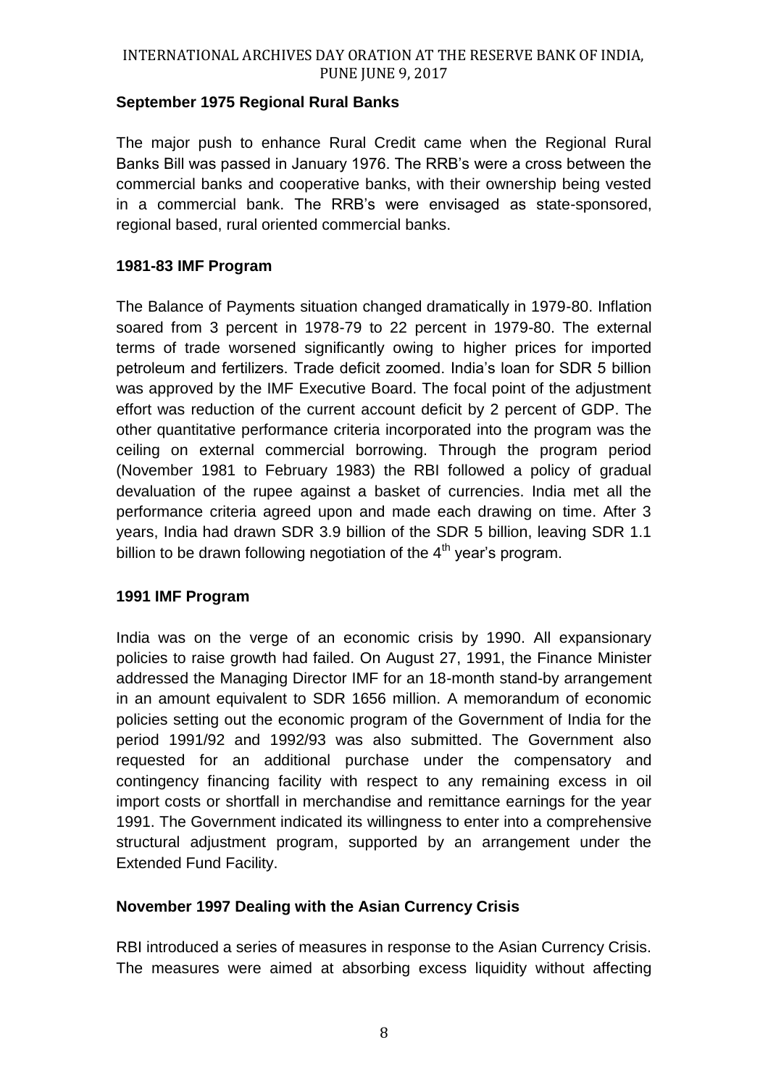### **September 1975 Regional Rural Banks**

The major push to enhance Rural Credit came when the Regional Rural Banks Bill was passed in January 1976. The RRB's were a cross between the commercial banks and cooperative banks, with their ownership being vested in a commercial bank. The RRB's were envisaged as state-sponsored, regional based, rural oriented commercial banks.

### **1981-83 IMF Program**

The Balance of Payments situation changed dramatically in 1979-80. Inflation soared from 3 percent in 1978-79 to 22 percent in 1979-80. The external terms of trade worsened significantly owing to higher prices for imported petroleum and fertilizers. Trade deficit zoomed. India's loan for SDR 5 billion was approved by the IMF Executive Board. The focal point of the adjustment effort was reduction of the current account deficit by 2 percent of GDP. The other quantitative performance criteria incorporated into the program was the ceiling on external commercial borrowing. Through the program period (November 1981 to February 1983) the RBI followed a policy of gradual devaluation of the rupee against a basket of currencies. India met all the performance criteria agreed upon and made each drawing on time. After 3 years, India had drawn SDR 3.9 billion of the SDR 5 billion, leaving SDR 1.1 billion to be drawn following negotiation of the  $4<sup>th</sup>$  year's program.

#### **1991 IMF Program**

India was on the verge of an economic crisis by 1990. All expansionary policies to raise growth had failed. On August 27, 1991, the Finance Minister addressed the Managing Director IMF for an 18-month stand-by arrangement in an amount equivalent to SDR 1656 million. A memorandum of economic policies setting out the economic program of the Government of India for the period 1991/92 and 1992/93 was also submitted. The Government also requested for an additional purchase under the compensatory and contingency financing facility with respect to any remaining excess in oil import costs or shortfall in merchandise and remittance earnings for the year 1991. The Government indicated its willingness to enter into a comprehensive structural adjustment program, supported by an arrangement under the Extended Fund Facility.

## **November 1997 Dealing with the Asian Currency Crisis**

RBI introduced a series of measures in response to the Asian Currency Crisis. The measures were aimed at absorbing excess liquidity without affecting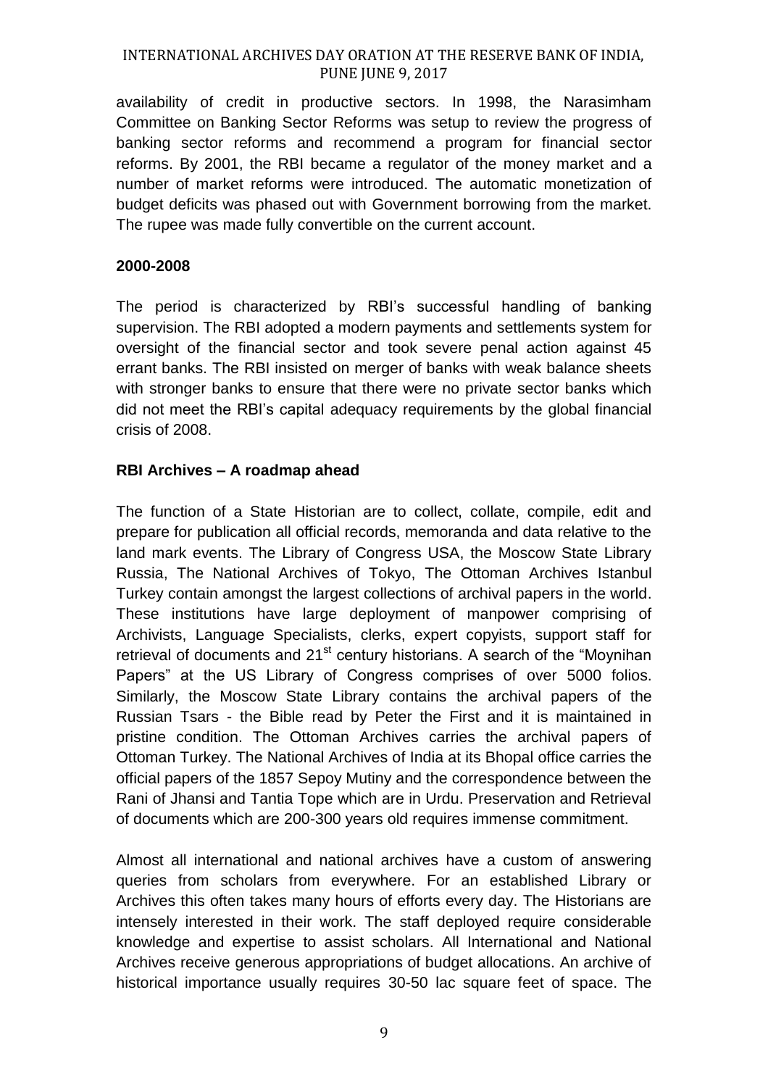availability of credit in productive sectors. In 1998, the Narasimham Committee on Banking Sector Reforms was setup to review the progress of banking sector reforms and recommend a program for financial sector reforms. By 2001, the RBI became a regulator of the money market and a number of market reforms were introduced. The automatic monetization of budget deficits was phased out with Government borrowing from the market. The rupee was made fully convertible on the current account.

#### **2000-2008**

The period is characterized by RBI's successful handling of banking supervision. The RBI adopted a modern payments and settlements system for oversight of the financial sector and took severe penal action against 45 errant banks. The RBI insisted on merger of banks with weak balance sheets with stronger banks to ensure that there were no private sector banks which did not meet the RBI's capital adequacy requirements by the global financial crisis of 2008.

## **RBI Archives – A roadmap ahead**

The function of a State Historian are to collect, collate, compile, edit and prepare for publication all official records, memoranda and data relative to the land mark events. The Library of Congress USA, the Moscow State Library Russia, The National Archives of Tokyo, The Ottoman Archives Istanbul Turkey contain amongst the largest collections of archival papers in the world. These institutions have large deployment of manpower comprising of Archivists, Language Specialists, clerks, expert copyists, support staff for retrieval of documents and  $21<sup>st</sup>$  century historians. A search of the "Moynihan Papers" at the US Library of Congress comprises of over 5000 folios. Similarly, the Moscow State Library contains the archival papers of the Russian Tsars - the Bible read by Peter the First and it is maintained in pristine condition. The Ottoman Archives carries the archival papers of Ottoman Turkey. The National Archives of India at its Bhopal office carries the official papers of the 1857 Sepoy Mutiny and the correspondence between the Rani of Jhansi and Tantia Tope which are in Urdu. Preservation and Retrieval of documents which are 200-300 years old requires immense commitment.

Almost all international and national archives have a custom of answering queries from scholars from everywhere. For an established Library or Archives this often takes many hours of efforts every day. The Historians are intensely interested in their work. The staff deployed require considerable knowledge and expertise to assist scholars. All International and National Archives receive generous appropriations of budget allocations. An archive of historical importance usually requires 30-50 lac square feet of space. The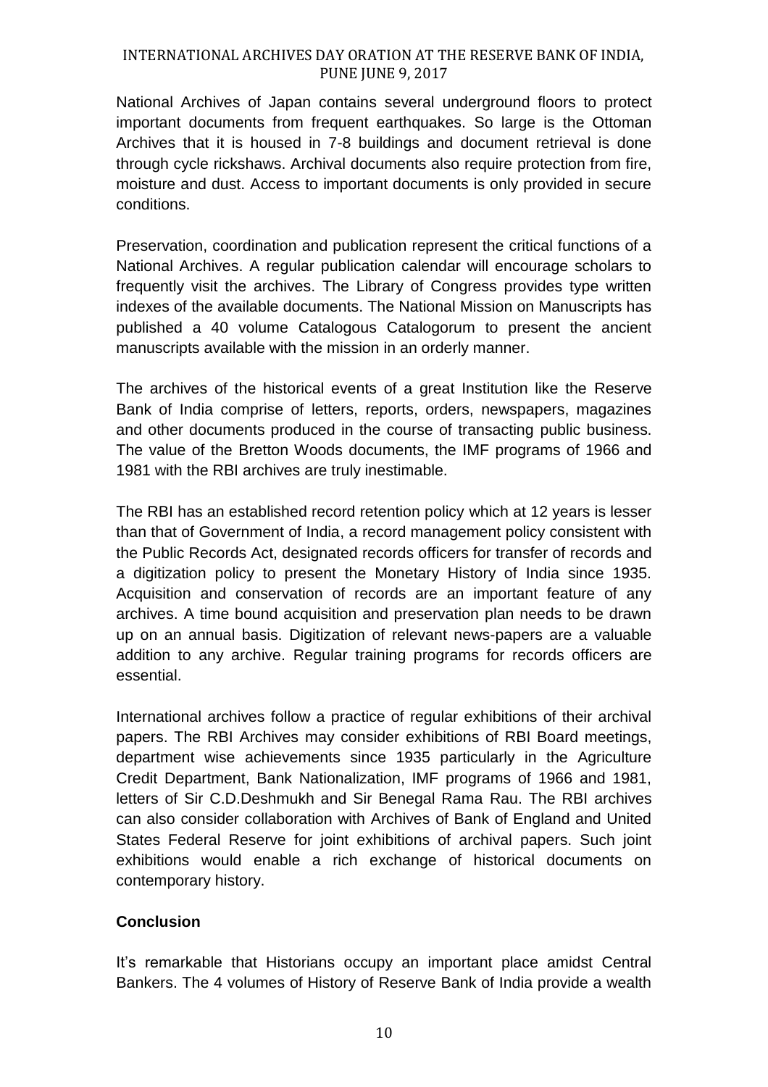National Archives of Japan contains several underground floors to protect important documents from frequent earthquakes. So large is the Ottoman Archives that it is housed in 7-8 buildings and document retrieval is done through cycle rickshaws. Archival documents also require protection from fire, moisture and dust. Access to important documents is only provided in secure conditions.

Preservation, coordination and publication represent the critical functions of a National Archives. A regular publication calendar will encourage scholars to frequently visit the archives. The Library of Congress provides type written indexes of the available documents. The National Mission on Manuscripts has published a 40 volume Catalogous Catalogorum to present the ancient manuscripts available with the mission in an orderly manner.

The archives of the historical events of a great Institution like the Reserve Bank of India comprise of letters, reports, orders, newspapers, magazines and other documents produced in the course of transacting public business. The value of the Bretton Woods documents, the IMF programs of 1966 and 1981 with the RBI archives are truly inestimable.

The RBI has an established record retention policy which at 12 years is lesser than that of Government of India, a record management policy consistent with the Public Records Act, designated records officers for transfer of records and a digitization policy to present the Monetary History of India since 1935. Acquisition and conservation of records are an important feature of any archives. A time bound acquisition and preservation plan needs to be drawn up on an annual basis. Digitization of relevant news-papers are a valuable addition to any archive. Regular training programs for records officers are essential.

International archives follow a practice of regular exhibitions of their archival papers. The RBI Archives may consider exhibitions of RBI Board meetings, department wise achievements since 1935 particularly in the Agriculture Credit Department, Bank Nationalization, IMF programs of 1966 and 1981, letters of Sir C.D.Deshmukh and Sir Benegal Rama Rau. The RBI archives can also consider collaboration with Archives of Bank of England and United States Federal Reserve for joint exhibitions of archival papers. Such joint exhibitions would enable a rich exchange of historical documents on contemporary history.

## **Conclusion**

It's remarkable that Historians occupy an important place amidst Central Bankers. The 4 volumes of History of Reserve Bank of India provide a wealth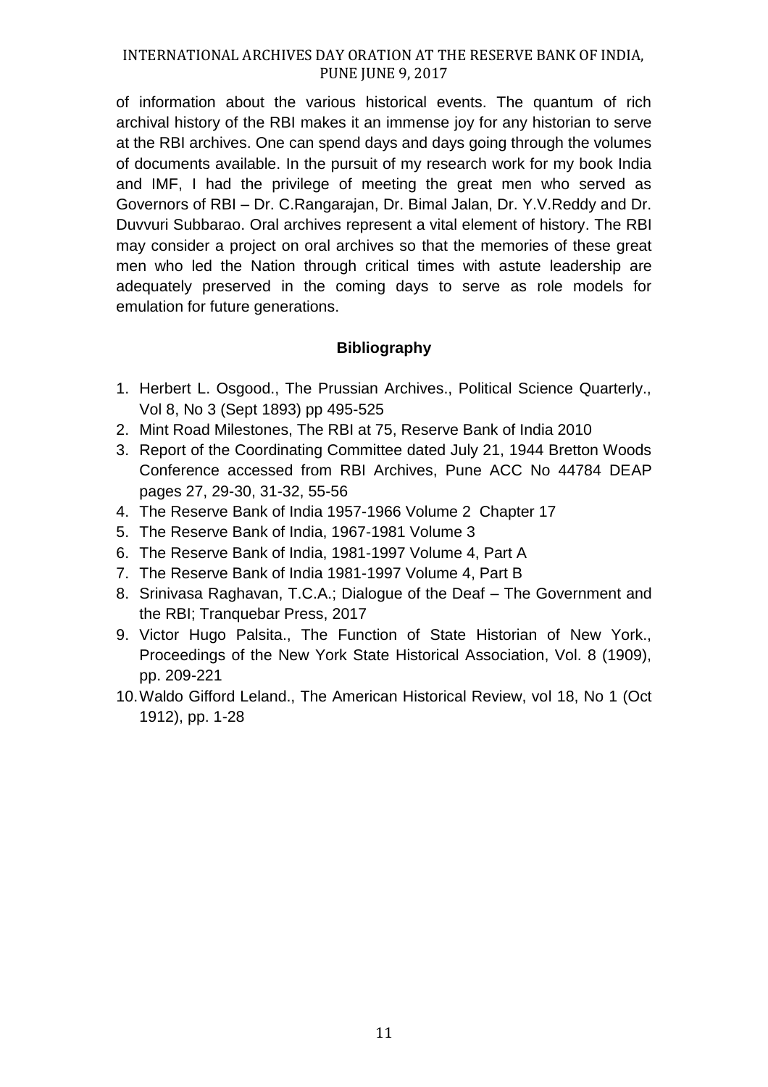of information about the various historical events. The quantum of rich archival history of the RBI makes it an immense joy for any historian to serve at the RBI archives. One can spend days and days going through the volumes of documents available. In the pursuit of my research work for my book India and IMF, I had the privilege of meeting the great men who served as Governors of RBI – Dr. C.Rangarajan, Dr. Bimal Jalan, Dr. Y.V.Reddy and Dr. Duvvuri Subbarao. Oral archives represent a vital element of history. The RBI may consider a project on oral archives so that the memories of these great men who led the Nation through critical times with astute leadership are adequately preserved in the coming days to serve as role models for emulation for future generations.

## **Bibliography**

- 1. Herbert L. Osgood., The Prussian Archives., Political Science Quarterly., Vol 8, No 3 (Sept 1893) pp 495-525
- 2. Mint Road Milestones, The RBI at 75, Reserve Bank of India 2010
- 3. Report of the Coordinating Committee dated July 21, 1944 Bretton Woods Conference accessed from RBI Archives, Pune ACC No 44784 DEAP pages 27, 29-30, 31-32, 55-56
- 4. The Reserve Bank of India 1957-1966 Volume 2 Chapter 17
- 5. The Reserve Bank of India, 1967-1981 Volume 3
- 6. The Reserve Bank of India, 1981-1997 Volume 4, Part A
- 7. The Reserve Bank of India 1981-1997 Volume 4, Part B
- 8. Srinivasa Raghavan, T.C.A.; Dialogue of the Deaf The Government and the RBI; Tranquebar Press, 2017
- 9. Victor Hugo Palsita., The Function of State Historian of New York., Proceedings of the New York State Historical Association, Vol. 8 (1909), pp. 209-221
- 10.Waldo Gifford Leland., The American Historical Review, vol 18, No 1 (Oct 1912), pp. 1-28